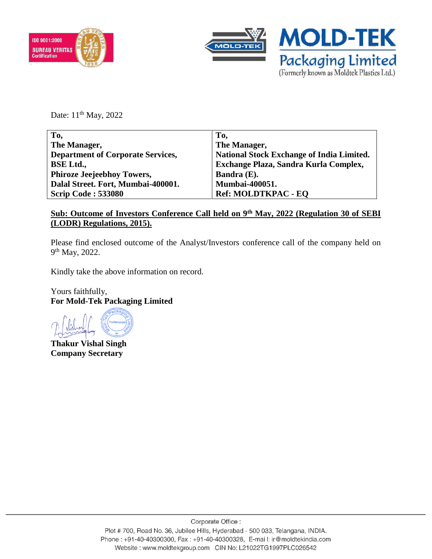



Date: 11<sup>th</sup> May, 2022

| To,                                      | To,                                              |
|------------------------------------------|--------------------------------------------------|
| The Manager,                             | The Manager,                                     |
| <b>Department of Corporate Services,</b> | <b>National Stock Exchange of India Limited.</b> |
| <b>BSE Ltd.,</b>                         | Exchange Plaza, Sandra Kurla Complex,            |
| <b>Phiroze Jeejeebhoy Towers,</b>        | Bandra (E).                                      |
| Dalal Street. Fort, Mumbai-400001.       | <b>Mumbai-400051.</b>                            |
| <b>Scrip Code: 533080</b>                | <b>Ref: MOLDTKPAC - EQ</b>                       |
|                                          |                                                  |

# **Sub: Outcome of Investors Conference Call held on 9th May, 2022 (Regulation 30 of SEBI (LODR) Regulations, 2015).**

Please find enclosed outcome of the Analyst/Investors conference call of the company held on 9<sup>th</sup> May, 2022.

Kindly take the above information on record.

Yours faithfully, **For Mold-Tek Packaging Limited**

**Thakur Vishal Singh Company Secretary**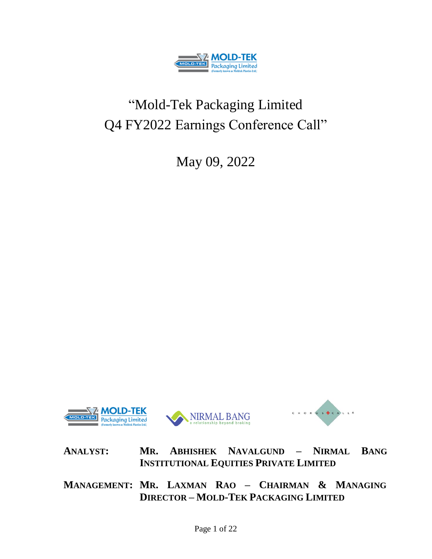

# "Mold-Tek Packaging Limited Q4 FY2022 Earnings Conference Call"

May 09, 2022



**ANALYST: MR. ABHISHEK NAVALGUND – NIRMAL BANG INSTITUTIONAL EQUITIES PRIVATE LIMITED**

**MANAGEMENT: MR. LAXMAN RAO – CHAIRMAN & MANAGING DIRECTOR – MOLD-TEK PACKAGING LIMITED**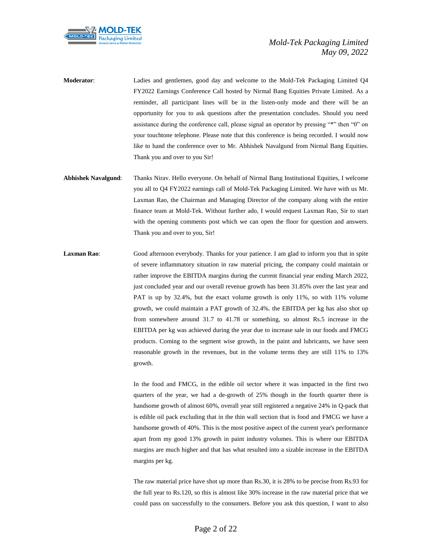

- **Moderator**: Ladies and gentlemen, good day and welcome to the Mold-Tek Packaging Limited Q4 FY2022 Earnings Conference Call hosted by Nirmal Bang Equities Private Limited. As a reminder, all participant lines will be in the listen-only mode and there will be an opportunity for you to ask questions after the presentation concludes. Should you need assistance during the conference call, please signal an operator by pressing "\*" then "0" on your touchtone telephone. Please note that this conference is being recorded. I would now like to hand the conference over to Mr. Abhishek Navalgund from Nirmal Bang Equities. Thank you and over to you Sir!
- **Abhishek Navalgund**: Thanks Nirav. Hello everyone. On behalf of Nirmal Bang Institutional Equities, I welcome you all to Q4 FY2022 earnings call of Mold-Tek Packaging Limited. We have with us Mr. Laxman Rao, the Chairman and Managing Director of the company along with the entire finance team at Mold-Tek. Without further ado, I would request Laxman Rao, Sir to start with the opening comments post which we can open the floor for question and answers. Thank you and over to you, Sir!
- Laxman Rao: Good afternoon everybody. Thanks for your patience. I am glad to inform you that in spite of severe inflammatory situation in raw material pricing, the company could maintain or rather improve the EBITDA margins during the current financial year ending March 2022, just concluded year and our overall revenue growth has been 31.85% over the last year and PAT is up by 32.4%, but the exact volume growth is only 11%, so with 11% volume growth, we could maintain a PAT growth of 32.4%. the EBITDA per kg has also shot up from somewhere around 31.7 to 41.78 or something, so almost Rs.5 increase in the EBITDA per kg was achieved during the year due to increase sale in our foods and FMCG products. Coming to the segment wise growth, in the paint and lubricants, we have seen reasonable growth in the revenues, but in the volume terms they are still 11% to 13% growth.

In the food and FMCG, in the edible oil sector where it was impacted in the first two quarters of the year, we had a de-growth of 25% though in the fourth quarter there is handsome growth of almost 60%, overall year still registered a negative 24% in Q-pack that is edible oil pack excluding that in the thin wall section that is food and FMCG we have a handsome growth of 40%. This is the most positive aspect of the current year's performance apart from my good 13% growth in paint industry volumes. This is where our EBITDA margins are much higher and that has what resulted into a sizable increase in the EBITDA margins per kg.

The raw material price have shot up more than Rs.30, it is 28% to be precise from Rs.93 for the full year to Rs.120, so this is almost like 30% increase in the raw material price that we could pass on successfully to the consumers. Before you ask this question, I want to also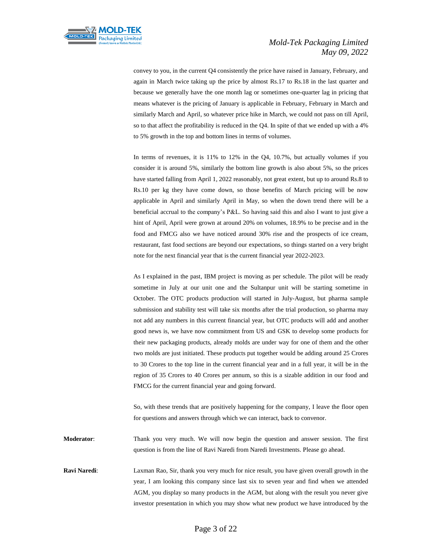

convey to you, in the current Q4 consistently the price have raised in January, February, and again in March twice taking up the price by almost Rs.17 to Rs.18 in the last quarter and because we generally have the one month lag or sometimes one-quarter lag in pricing that means whatever is the pricing of January is applicable in February, February in March and similarly March and April, so whatever price hike in March, we could not pass on till April, so to that affect the profitability is reduced in the Q4. In spite of that we ended up with a 4% to 5% growth in the top and bottom lines in terms of volumes.

In terms of revenues, it is 11% to 12% in the Q4, 10.7%, but actually volumes if you consider it is around 5%, similarly the bottom line growth is also about 5%, so the prices have started falling from April 1, 2022 reasonably, not great extent, but up to around Rs.8 to Rs.10 per kg they have come down, so those benefits of March pricing will be now applicable in April and similarly April in May, so when the down trend there will be a beneficial accrual to the company's P&L. So having said this and also I want to just give a hint of April, April were grown at around 20% on volumes, 18.9% to be precise and in the food and FMCG also we have noticed around 30% rise and the prospects of ice cream, restaurant, fast food sections are beyond our expectations, so things started on a very bright note for the next financial year that is the current financial year 2022-2023.

As I explained in the past, IBM project is moving as per schedule. The pilot will be ready sometime in July at our unit one and the Sultanpur unit will be starting sometime in October. The OTC products production will started in July-August, but pharma sample submission and stability test will take six months after the trial production, so pharma may not add any numbers in this current financial year, but OTC products will add and another good news is, we have now commitment from US and GSK to develop some products for their new packaging products, already molds are under way for one of them and the other two molds are just initiated. These products put together would be adding around 25 Crores to 30 Crores to the top line in the current financial year and in a full year, it will be in the region of 35 Crores to 40 Crores per annum, so this is a sizable addition in our food and FMCG for the current financial year and going forward.

So, with these trends that are positively happening for the company, I leave the floor open for questions and answers through which we can interact, back to convenor.

**Moderator**: Thank you very much. We will now begin the question and answer session. The first question is from the line of Ravi Naredi from Naredi Investments. Please go ahead.

**Ravi Naredi**: Laxman Rao, Sir, thank you very much for nice result, you have given overall growth in the year, I am looking this company since last six to seven year and find when we attended AGM, you display so many products in the AGM, but along with the result you never give investor presentation in which you may show what new product we have introduced by the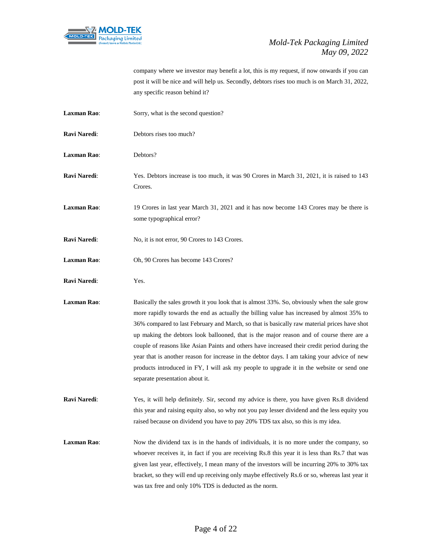

company where we investor may benefit a lot, this is my request, if now onwards if you can post it will be nice and will help us. Secondly, debtors rises too much is on March 31, 2022, any specific reason behind it?

- **Laxman Rao:** Sorry, what is the second question?
- **Ravi Naredi:** Debtors rises too much?
- **Laxman Rao**: Debtors?
- **Ravi Naredi**: Yes. Debtors increase is too much, it was 90 Crores in March 31, 2021, it is raised to 143 Crores.
- **Laxman Rao**: 19 Crores in last year March 31, 2021 and it has now become 143 Crores may be there is some typographical error?
- **Ravi Naredi:** No, it is not error, 90 Crores to 143 Crores.
- **Laxman Rao**: Oh, 90 Crores has become 143 Crores?
- **Ravi Naredi**: Yes.
- **Laxman Rao:** Basically the sales growth it you look that is almost 33%. So, obviously when the sale grow more rapidly towards the end as actually the billing value has increased by almost 35% to 36% compared to last February and March, so that is basically raw material prices have shot up making the debtors look ballooned, that is the major reason and of course there are a couple of reasons like Asian Paints and others have increased their credit period during the year that is another reason for increase in the debtor days. I am taking your advice of new products introduced in FY, I will ask my people to upgrade it in the website or send one separate presentation about it.
- **Ravi Naredi**: Yes, it will help definitely. Sir, second my advice is there, you have given Rs.8 dividend this year and raising equity also, so why not you pay lesser dividend and the less equity you raised because on dividend you have to pay 20% TDS tax also, so this is my idea.
- **Laxman Rao:** Now the dividend tax is in the hands of individuals, it is no more under the company, so whoever receives it, in fact if you are receiving Rs.8 this year it is less than Rs.7 that was given last year, effectively, I mean many of the investors will be incurring 20% to 30% tax bracket, so they will end up receiving only maybe effectively Rs.6 or so, whereas last year it was tax free and only 10% TDS is deducted as the norm.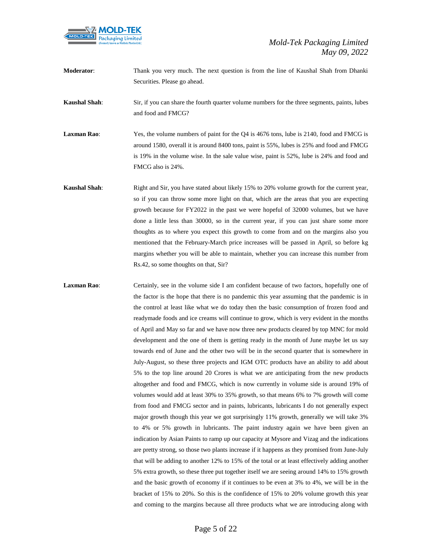

**Moderator**: Thank you very much. The next question is from the line of Kaushal Shah from Dhanki Securities. Please go ahead.

**Kaushal Shah**: Sir, if you can share the fourth quarter volume numbers for the three segments, paints, lubes and food and FMCG?

**Laxman Rao**: Yes, the volume numbers of paint for the Q4 is 4676 tons, lube is 2140, food and FMCG is around 1580, overall it is around 8400 tons, paint is 55%, lubes is 25% and food and FMCG is 19% in the volume wise. In the sale value wise, paint is 52%, lube is 24% and food and FMCG also is 24%.

**Kaushal Shah**: Right and Sir, you have stated about likely 15% to 20% volume growth for the current year, so if you can throw some more light on that, which are the areas that you are expecting growth because for FY2022 in the past we were hopeful of 32000 volumes, but we have done a little less than 30000, so in the current year, if you can just share some more thoughts as to where you expect this growth to come from and on the margins also you mentioned that the February-March price increases will be passed in April, so before kg margins whether you will be able to maintain, whether you can increase this number from Rs.42, so some thoughts on that, Sir?

Laxman Rao: Certainly, see in the volume side I am confident because of two factors, hopefully one of the factor is the hope that there is no pandemic this year assuming that the pandemic is in the control at least like what we do today then the basic consumption of frozen food and readymade foods and ice creams will continue to grow, which is very evident in the months of April and May so far and we have now three new products cleared by top MNC for mold development and the one of them is getting ready in the month of June maybe let us say towards end of June and the other two will be in the second quarter that is somewhere in July-August, so these three projects and IGM OTC products have an ability to add about 5% to the top line around 20 Crores is what we are anticipating from the new products altogether and food and FMCG, which is now currently in volume side is around 19% of volumes would add at least 30% to 35% growth, so that means 6% to 7% growth will come from food and FMCG sector and in paints, lubricants, lubricants I do not generally expect major growth though this year we got surprisingly 11% growth, generally we will take 3% to 4% or 5% growth in lubricants. The paint industry again we have been given an indication by Asian Paints to ramp up our capacity at Mysore and Vizag and the indications are pretty strong, so those two plants increase if it happens as they promised from June-July that will be adding to another 12% to 15% of the total or at least effectively adding another 5% extra growth, so these three put together itself we are seeing around 14% to 15% growth and the basic growth of economy if it continues to be even at 3% to 4%, we will be in the bracket of 15% to 20%. So this is the confidence of 15% to 20% volume growth this year and coming to the margins because all three products what we are introducing along with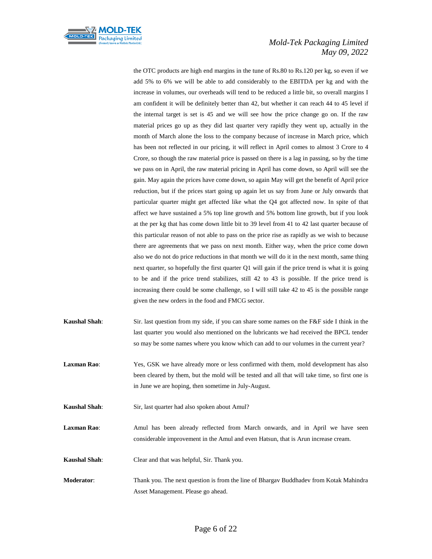

the OTC products are high end margins in the tune of Rs.80 to Rs.120 per kg, so even if we add 5% to 6% we will be able to add considerably to the EBITDA per kg and with the increase in volumes, our overheads will tend to be reduced a little bit, so overall margins I am confident it will be definitely better than 42, but whether it can reach 44 to 45 level if the internal target is set is 45 and we will see how the price change go on. If the raw material prices go up as they did last quarter very rapidly they went up, actually in the month of March alone the loss to the company because of increase in March price, which has been not reflected in our pricing, it will reflect in April comes to almost 3 Crore to 4 Crore, so though the raw material price is passed on there is a lag in passing, so by the time we pass on in April, the raw material pricing in April has come down, so April will see the gain. May again the prices have come down, so again May will get the benefit of April price reduction, but if the prices start going up again let us say from June or July onwards that particular quarter might get affected like what the Q4 got affected now. In spite of that affect we have sustained a 5% top line growth and 5% bottom line growth, but if you look at the per kg that has come down little bit to 39 level from 41 to 42 last quarter because of this particular reason of not able to pass on the price rise as rapidly as we wish to because there are agreements that we pass on next month. Either way, when the price come down also we do not do price reductions in that month we will do it in the next month, same thing next quarter, so hopefully the first quarter Q1 will gain if the price trend is what it is going to be and if the price trend stabilizes, still 42 to 43 is possible. If the price trend is increasing there could be some challenge, so I will still take 42 to 45 is the possible range given the new orders in the food and FMCG sector.

- **Kaushal Shah**: Sir. last question from my side, if you can share some names on the F&F side I think in the last quarter you would also mentioned on the lubricants we had received the BPCL tender so may be some names where you know which can add to our volumes in the current year?
- **Laxman Rao**: Yes, GSK we have already more or less confirmed with them, mold development has also been cleared by them, but the mold will be tested and all that will take time, so first one is in June we are hoping, then sometime in July-August.
- **Kaushal Shah**: Sir, last quarter had also spoken about Amul?

Laxman Rao: Amul has been already reflected from March onwards, and in April we have seen considerable improvement in the Amul and even Hatsun, that is Arun increase cream.

- **Kaushal Shah**: Clear and that was helpful, Sir. Thank you.
- **Moderator**: Thank you. The next question is from the line of Bhargav Buddhadev from Kotak Mahindra Asset Management. Please go ahead.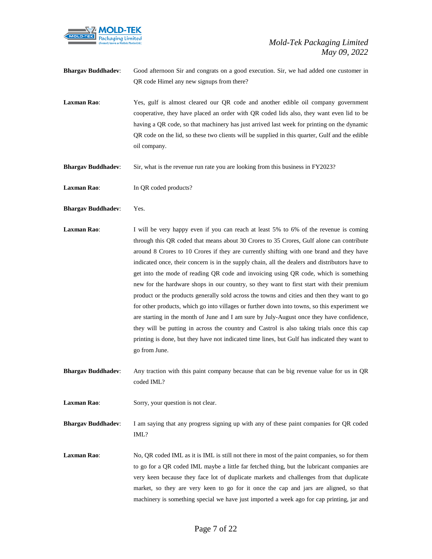

- **Bhargav Buddhadev**: Good afternoon Sir and congrats on a good execution. Sir, we had added one customer in QR code Himel any new signups from there?
- **Laxman Rao:** Yes, gulf is almost cleared our OR code and another edible oil company government cooperative, they have placed an order with QR coded lids also, they want even lid to be having a QR code, so that machinery has just arrived last week for printing on the dynamic QR code on the lid, so these two clients will be supplied in this quarter, Gulf and the edible oil company.
- **Bhargav Buddhadev**: Sir, what is the revenue run rate you are looking from this business in FY2023?
- Laxman Rao: In QR coded products?
- **Bhargav Buddhadev**: Yes.
- **Laxman Rao:** I will be very happy even if you can reach at least 5% to 6% of the revenue is coming through this QR coded that means about 30 Crores to 35 Crores, Gulf alone can contribute around 8 Crores to 10 Crores if they are currently shifting with one brand and they have indicated once, their concern is in the supply chain, all the dealers and distributors have to get into the mode of reading QR code and invoicing using QR code, which is something new for the hardware shops in our country, so they want to first start with their premium product or the products generally sold across the towns and cities and then they want to go for other products, which go into villages or further down into towns, so this experiment we are starting in the month of June and I am sure by July-August once they have confidence, they will be putting in across the country and Castrol is also taking trials once this cap printing is done, but they have not indicated time lines, but Gulf has indicated they want to go from June.
- **Bhargav Buddhadev**: Any traction with this paint company because that can be big revenue value for us in QR coded IML?
- **Laxman Rao**: Sorry, your question is not clear.

**Bhargav Buddhadev**: I am saying that any progress signing up with any of these paint companies for QR coded IML?

**Laxman Rao**: No, QR coded IML as it is IML is still not there in most of the paint companies, so for them to go for a QR coded IML maybe a little far fetched thing, but the lubricant companies are very keen because they face lot of duplicate markets and challenges from that duplicate market, so they are very keen to go for it once the cap and jars are aligned, so that machinery is something special we have just imported a week ago for cap printing, jar and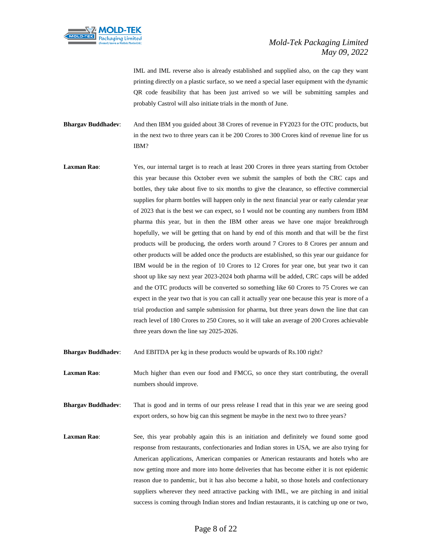

IML and IML reverse also is already established and supplied also, on the cap they want printing directly on a plastic surface, so we need a special laser equipment with the dynamic QR code feasibility that has been just arrived so we will be submitting samples and probably Castrol will also initiate trials in the month of June.

**Bhargav Buddhadev**: And then IBM you guided about 38 Crores of revenue in FY2023 for the OTC products, but in the next two to three years can it be 200 Crores to 300 Crores kind of revenue line for us IBM?

Laxman Rao: Yes, our internal target is to reach at least 200 Crores in three years starting from October this year because this October even we submit the samples of both the CRC caps and bottles, they take about five to six months to give the clearance, so effective commercial supplies for pharm bottles will happen only in the next financial year or early calendar year of 2023 that is the best we can expect, so I would not be counting any numbers from IBM pharma this year, but in then the IBM other areas we have one major breakthrough hopefully, we will be getting that on hand by end of this month and that will be the first products will be producing, the orders worth around 7 Crores to 8 Crores per annum and other products will be added once the products are established, so this year our guidance for IBM would be in the region of 10 Crores to 12 Crores for year one, but year two it can shoot up like say next year 2023-2024 both pharma will be added, CRC caps will be added and the OTC products will be converted so something like 60 Crores to 75 Crores we can expect in the year two that is you can call it actually year one because this year is more of a trial production and sample submission for pharma, but three years down the line that can reach level of 180 Crores to 250 Crores, so it will take an average of 200 Crores achievable three years down the line say 2025-2026.

**Bhargav Buddhadev**: And EBITDA per kg in these products would be upwards of Rs.100 right?

**Laxman Rao**: Much higher than even our food and FMCG, so once they start contributing, the overall numbers should improve.

**Bhargav Buddhadev**: That is good and in terms of our press release I read that in this year we are seeing good export orders, so how big can this segment be maybe in the next two to three years?

Laxman Rao: See, this year probably again this is an initiation and definitely we found some good response from restaurants, confectionaries and Indian stores in USA, we are also trying for American applications, American companies or American restaurants and hotels who are now getting more and more into home deliveries that has become either it is not epidemic reason due to pandemic, but it has also become a habit, so those hotels and confectionary suppliers wherever they need attractive packing with IML, we are pitching in and initial success is coming through Indian stores and Indian restaurants, it is catching up one or two,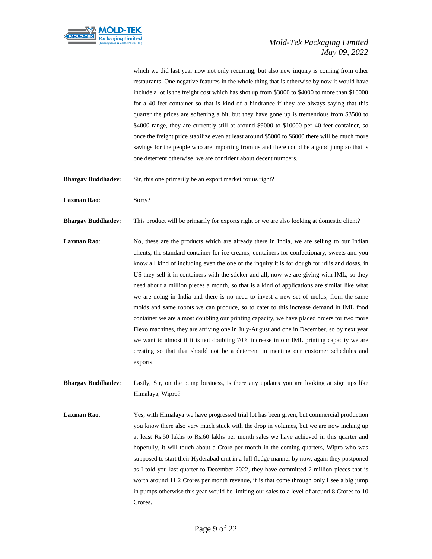

which we did last year now not only recurring, but also new inquiry is coming from other restaurants. One negative features in the whole thing that is otherwise by now it would have include a lot is the freight cost which has shot up from \$3000 to \$4000 to more than \$10000 for a 40-feet container so that is kind of a hindrance if they are always saying that this quarter the prices are softening a bit, but they have gone up is tremendous from \$3500 to \$4000 range, they are currently still at around \$9000 to \$10000 per 40-feet container, so once the freight price stabilize even at least around \$5000 to \$6000 there will be much more savings for the people who are importing from us and there could be a good jump so that is one deterrent otherwise, we are confident about decent numbers.

**Bhargav Buddhadev:** Sir, this one primarily be an export market for us right?

**Laxman Rao**: Sorry?

**Bhargav Buddhadev:** This product will be primarily for exports right or we are also looking at domestic client?

Laxman Rao: No, these are the products which are already there in India, we are selling to our Indian clients, the standard container for ice creams, containers for confectionary, sweets and you know all kind of including even the one of the inquiry it is for dough for idlis and dosas, in US they sell it in containers with the sticker and all, now we are giving with IML, so they need about a million pieces a month, so that is a kind of applications are similar like what we are doing in India and there is no need to invest a new set of molds, from the same molds and same robots we can produce, so to cater to this increase demand in IML food container we are almost doubling our printing capacity, we have placed orders for two more Flexo machines, they are arriving one in July-August and one in December, so by next year we want to almost if it is not doubling 70% increase in our IML printing capacity we are creating so that that should not be a deterrent in meeting our customer schedules and exports.

**Bhargav Buddhadev**: Lastly, Sir, on the pump business, is there any updates you are looking at sign ups like Himalaya, Wipro?

**Laxman Rao**: Yes, with Himalaya we have progressed trial lot has been given, but commercial production you know there also very much stuck with the drop in volumes, but we are now inching up at least Rs.50 lakhs to Rs.60 lakhs per month sales we have achieved in this quarter and hopefully, it will touch about a Crore per month in the coming quarters, Wipro who was supposed to start their Hyderabad unit in a full fledge manner by now, again they postponed as I told you last quarter to December 2022, they have committed 2 million pieces that is worth around 11.2 Crores per month revenue, if is that come through only I see a big jump in pumps otherwise this year would be limiting our sales to a level of around 8 Crores to 10 Crores.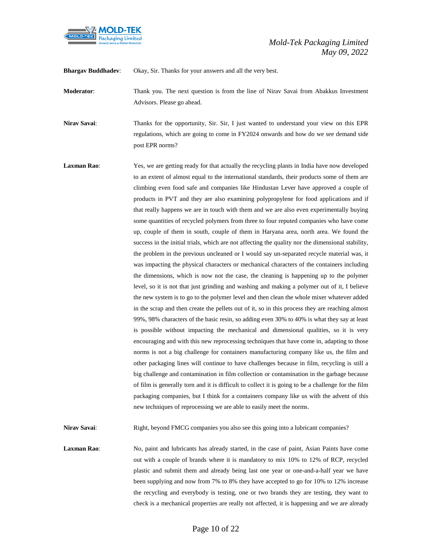

**Bhargav Buddhadev**: Okay, Sir. Thanks for your answers and all the very best.

**Moderator**: Thank you. The next question is from the line of Nirav Savai from Abakkus Investment Advisors. Please go ahead.

**Nirav Savai:** Thanks for the opportunity, Sir. Sir, I just wanted to understand your view on this EPR regulations, which are going to come in FY2024 onwards and how do we see demand side post EPR norms?

Laxman Rao: Yes, we are getting ready for that actually the recycling plants in India have now developed to an extent of almost equal to the international standards, their products some of them are climbing even food safe and companies like Hindustan Lever have approved a couple of products in PVT and they are also examining polypropylene for food applications and if that really happens we are in touch with them and we are also even experimentally buying some quantities of recycled polymers from three to four reputed companies who have come up, couple of them in south, couple of them in Haryana area, north area. We found the success in the initial trials, which are not affecting the quality nor the dimensional stability, the problem in the previous uncleaned or I would say un-separated recycle material was, it was impacting the physical characters or mechanical characters of the containers including the dimensions, which is now not the case, the cleaning is happening up to the polymer level, so it is not that just grinding and washing and making a polymer out of it, I believe the new system is to go to the polymer level and then clean the whole mixer whatever added in the scrap and then create the pellets out of it, so in this process they are reaching almost 99%, 98% characters of the basic resin, so adding even 30% to 40% is what they say at least is possible without impacting the mechanical and dimensional qualities, so it is very encouraging and with this new reprocessing techniques that have come in, adapting to those norms is not a big challenge for containers manufacturing company like us, the film and other packaging lines will continue to have challenges because in film, recycling is still a big challenge and contamination in film collection or contamination in the garbage because of film is generally torn and it is difficult to collect it is going to be a challenge for the film packaging companies, but I think for a containers company like us with the advent of this new techniques of reprocessing we are able to easily meet the norms.

**Nirav Savai:** Right, beyond FMCG companies you also see this going into a lubricant companies?

**Laxman Rao:** No, paint and lubricants has already started, in the case of paint, Asian Paints have come out with a couple of brands where it is mandatory to mix 10% to 12% of RCP, recycled plastic and submit them and already being last one year or one-and-a-half year we have been supplying and now from 7% to 8% they have accepted to go for 10% to 12% increase the recycling and everybody is testing, one or two brands they are testing, they want to check is a mechanical properties are really not affected, it is happening and we are already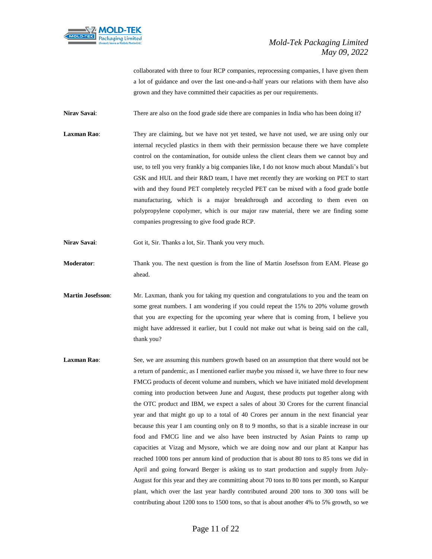

collaborated with three to four RCP companies, reprocessing companies, I have given them a lot of guidance and over the last one-and-a-half years our relations with them have also grown and they have committed their capacities as per our requirements.

**Nirav Savai:** There are also on the food grade side there are companies in India who has been doing it?

**Laxman Rao:** They are claiming, but we have not yet tested, we have not used, we are using only our internal recycled plastics in them with their permission because there we have complete control on the contamination, for outside unless the client clears them we cannot buy and use, to tell you very frankly a big companies like, I do not know much about Mandali's but GSK and HUL and their R&D team, I have met recently they are working on PET to start with and they found PET completely recycled PET can be mixed with a food grade bottle manufacturing, which is a major breakthrough and according to them even on polypropylene copolymer, which is our major raw material, there we are finding some companies progressing to give food grade RCP.

**Nirav Savai**: Got it, Sir. Thanks a lot, Sir. Thank you very much.

- **Moderator**: Thank you. The next question is from the line of Martin Josefsson from EAM. Please go ahead.
- **Martin Josefsson**: Mr. Laxman, thank you for taking my question and congratulations to you and the team on some great numbers. I am wondering if you could repeat the 15% to 20% volume growth that you are expecting for the upcoming year where that is coming from, I believe you might have addressed it earlier, but I could not make out what is being said on the call, thank you?
- **Laxman Rao:** See, we are assuming this numbers growth based on an assumption that there would not be a return of pandemic, as I mentioned earlier maybe you missed it, we have three to four new FMCG products of decent volume and numbers, which we have initiated mold development coming into production between June and August, these products put together along with the OTC product and IBM, we expect a sales of about 30 Crores for the current financial year and that might go up to a total of 40 Crores per annum in the next financial year because this year I am counting only on 8 to 9 months, so that is a sizable increase in our food and FMCG line and we also have been instructed by Asian Paints to ramp up capacities at Vizag and Mysore, which we are doing now and our plant at Kanpur has reached 1000 tons per annum kind of production that is about 80 tons to 85 tons we did in April and going forward Berger is asking us to start production and supply from July-August for this year and they are committing about 70 tons to 80 tons per month, so Kanpur plant, which over the last year hardly contributed around 200 tons to 300 tons will be contributing about 1200 tons to 1500 tons, so that is about another 4% to 5% growth, so we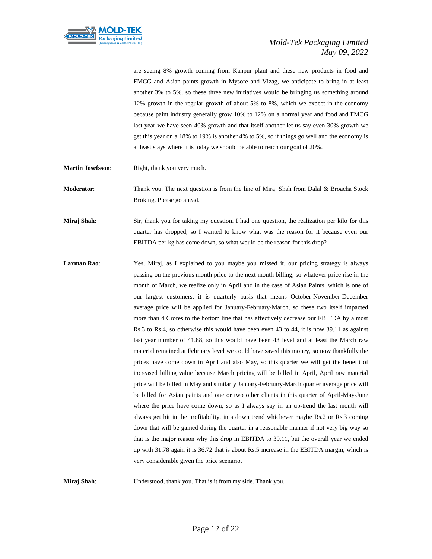

are seeing 8% growth coming from Kanpur plant and these new products in food and FMCG and Asian paints growth in Mysore and Vizag, we anticipate to bring in at least another 3% to 5%, so these three new initiatives would be bringing us something around 12% growth in the regular growth of about 5% to 8%, which we expect in the economy because paint industry generally grow 10% to 12% on a normal year and food and FMCG last year we have seen 40% growth and that itself another let us say even 30% growth we get this year on a 18% to 19% is another 4% to 5%, so if things go well and the economy is at least stays where it is today we should be able to reach our goal of 20%.

**Martin Josefsson:** Right, thank you very much.

**Moderator**: Thank you. The next question is from the line of Miraj Shah from Dalal & Broacha Stock Broking. Please go ahead.

**Miraj Shah**: Sir, thank you for taking my question. I had one question, the realization per kilo for this quarter has dropped, so I wanted to know what was the reason for it because even our EBITDA per kg has come down, so what would be the reason for this drop?

Laxman Rao: Yes, Miraj, as I explained to you maybe you missed it, our pricing strategy is always passing on the previous month price to the next month billing, so whatever price rise in the month of March, we realize only in April and in the case of Asian Paints, which is one of our largest customers, it is quarterly basis that means October-November-December average price will be applied for January-February-March, so these two itself impacted more than 4 Crores to the bottom line that has effectively decrease our EBITDA by almost Rs.3 to Rs.4, so otherwise this would have been even 43 to 44, it is now 39.11 as against last year number of 41.88, so this would have been 43 level and at least the March raw material remained at February level we could have saved this money, so now thankfully the prices have come down in April and also May, so this quarter we will get the benefit of increased billing value because March pricing will be billed in April, April raw material price will be billed in May and similarly January-February-March quarter average price will be billed for Asian paints and one or two other clients in this quarter of April-May-June where the price have come down, so as I always say in an up-trend the last month will always get hit in the profitability, in a down trend whichever maybe Rs.2 or Rs.3 coming down that will be gained during the quarter in a reasonable manner if not very big way so that is the major reason why this drop in EBITDA to 39.11, but the overall year we ended up with 31.78 again it is 36.72 that is about Rs.5 increase in the EBITDA margin, which is very considerable given the price scenario.

**Miraj Shah**: Understood, thank you. That is it from my side. Thank you.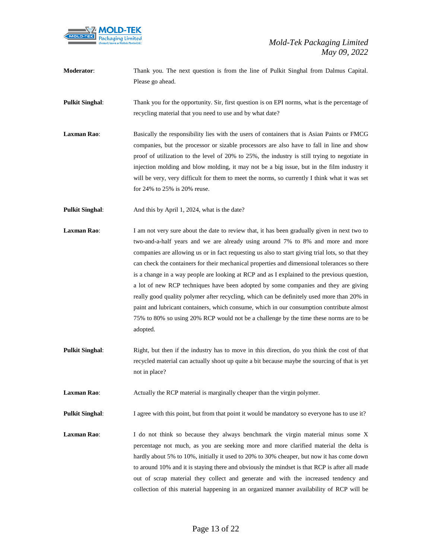

- **Moderator**: Thank you. The next question is from the line of Pulkit Singhal from Dalmus Capital. Please go ahead.
- **Pulkit Singhal:** Thank you for the opportunity. Sir, first question is on EPI norms, what is the percentage of recycling material that you need to use and by what date?
- **Laxman Rao:** Basically the responsibility lies with the users of containers that is Asian Paints or FMCG companies, but the processor or sizable processors are also have to fall in line and show proof of utilization to the level of 20% to 25%, the industry is still trying to negotiate in injection molding and blow molding, it may not be a big issue, but in the film industry it will be very, very difficult for them to meet the norms, so currently I think what it was set for 24% to 25% is 20% reuse.

**Pulkit Singhal:** And this by April 1, 2024, what is the date?

- **Laxman Rao:** I am not very sure about the date to review that, it has been gradually given in next two to two-and-a-half years and we are already using around 7% to 8% and more and more companies are allowing us or in fact requesting us also to start giving trial lots, so that they can check the containers for their mechanical properties and dimensional tolerances so there is a change in a way people are looking at RCP and as I explained to the previous question, a lot of new RCP techniques have been adopted by some companies and they are giving really good quality polymer after recycling, which can be definitely used more than 20% in paint and lubricant containers, which consume, which in our consumption contribute almost 75% to 80% so using 20% RCP would not be a challenge by the time these norms are to be adopted.
- **Pulkit Singhal:** Right, but then if the industry has to move in this direction, do you think the cost of that recycled material can actually shoot up quite a bit because maybe the sourcing of that is yet not in place?

**Laxman Rao:** Actually the RCP material is marginally cheaper than the virgin polymer.

**Pulkit Singhal:** I agree with this point, but from that point it would be mandatory so everyone has to use it?

Laxman Rao: I do not think so because they always benchmark the virgin material minus some X percentage not much, as you are seeking more and more clarified material the delta is hardly about 5% to 10%, initially it used to 20% to 30% cheaper, but now it has come down to around 10% and it is staying there and obviously the mindset is that RCP is after all made out of scrap material they collect and generate and with the increased tendency and collection of this material happening in an organized manner availability of RCP will be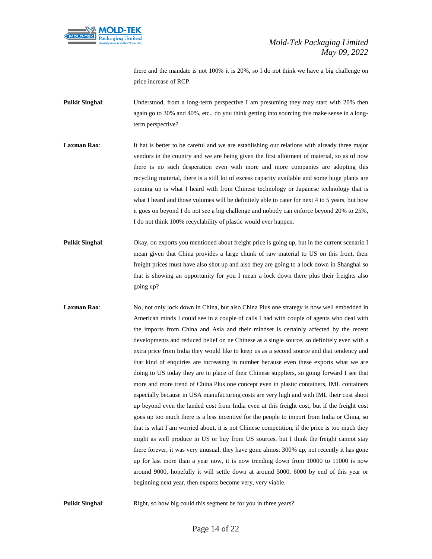

there and the mandate is not 100% it is 20%, so I do not think we have a big challenge on price increase of RCP.

- **Pulkit Singhal:** Understood, from a long-term perspective I am presuming they may start with 20% then again go to 30% and 40%, etc., do you think getting into sourcing this make sense in a longterm perspective?
- **Laxman Rao:** It hat is better to be careful and we are establishing our relations with already three major vendors in the country and we are being given the first allotment of material, so as of now there is no such desperation even with more and more companies are adopting this recycling material, there is a still lot of excess capacity available and some huge plants are coming up is what I heard with from Chinese technology or Japanese technology that is what I heard and those volumes will be definitely able to cater for next 4 to 5 years, but how it goes on beyond I do not see a big challenge and nobody can enforce beyond 20% to 25%, I do not think 100% recyclability of plastic would ever happen.
- **Pulkit Singhal:** Okay, on exports you mentioned about freight price is going up, but in the current scenario I mean given that China provides a large chunk of raw material to US on this front, their freight prices must have also shot up and also they are going to a lock down in Shanghai so that is showing an opportunity for you I mean a lock down there plus their freights also going up?
- **Laxman Rao:** No, not only lock down in China, but also China Plus one strategy is now well embedded in American minds I could see in a couple of calls I had with couple of agents who deal with the imports from China and Asia and their mindset is certainly affected by the recent developments and reduced belief on ne Chinese as a single source, so definitely even with a extra price from India they would like to keep us as a second source and that tendency and that kind of enquiries are increasing in number because even these exports what we are doing to US today they are in place of their Chinese suppliers, so going forward I see that more and more trend of China Plus one concept even in plastic containers, IML containers especially because in USA manufacturing costs are very high and with IML their cost shoot up beyond even the landed cost from India even at this freight cost, but if the freight cost goes up too much there is a less incentive for the people to import from India or China, so that is what I am worried about, it is not Chinese competition, if the price is too much they might as well produce in US or buy from US sources, but I think the freight cannot stay there forever, it was very unusual, they have gone almost 300% up, not recently it has gone up for last more than a year now, it is now trending down from 10000 to 11000 is now around 9000, hopefully it will settle down at around 5000, 6000 by end of this year or beginning next year, then exports become very, very viable.

**Pulkit Singhal:** Right, so how big could this segment be for you in three years?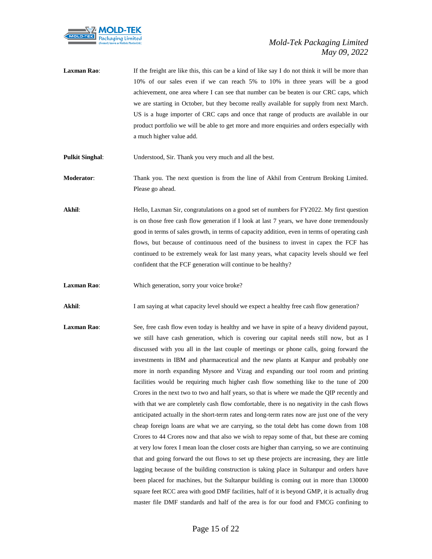

Laxman Rao: If the freight are like this, this can be a kind of like say I do not think it will be more than 10% of our sales even if we can reach 5% to 10% in three years will be a good achievement, one area where I can see that number can be beaten is our CRC caps, which we are starting in October, but they become really available for supply from next March. US is a huge importer of CRC caps and once that range of products are available in our product portfolio we will be able to get more and more enquiries and orders especially with a much higher value add.

**Pulkit Singhal**: Understood, Sir. Thank you very much and all the best.

- **Moderator**: Thank you. The next question is from the line of Akhil from Centrum Broking Limited. Please go ahead.
- Akhil: Hello, Laxman Sir, congratulations on a good set of numbers for FY2022. My first question is on those free cash flow generation if I look at last 7 years, we have done tremendously good in terms of sales growth, in terms of capacity addition, even in terms of operating cash flows, but because of continuous need of the business to invest in capex the FCF has continued to be extremely weak for last many years, what capacity levels should we feel confident that the FCF generation will continue to be healthy?
- **Laxman Rao:** Which generation, sorry your voice broke?

**Akhil**: I am saying at what capacity level should we expect a healthy free cash flow generation?

**Laxman Rao:** See, free cash flow even today is healthy and we have in spite of a heavy dividend payout, we still have cash generation, which is covering our capital needs still now, but as I discussed with you all in the last couple of meetings or phone calls, going forward the investments in IBM and pharmaceutical and the new plants at Kanpur and probably one more in north expanding Mysore and Vizag and expanding our tool room and printing facilities would be requiring much higher cash flow something like to the tune of 200 Crores in the next two to two and half years, so that is where we made the QIP recently and with that we are completely cash flow comfortable, there is no negativity in the cash flows anticipated actually in the short-term rates and long-term rates now are just one of the very cheap foreign loans are what we are carrying, so the total debt has come down from 108 Crores to 44 Crores now and that also we wish to repay some of that, but these are coming at very low forex I mean loan the closer costs are higher than carrying, so we are continuing that and going forward the out flows to set up these projects are increasing, they are little lagging because of the building construction is taking place in Sultanpur and orders have been placed for machines, but the Sultanpur building is coming out in more than 130000 square feet RCC area with good DMF facilities, half of it is beyond GMP, it is actually drug master file DMF standards and half of the area is for our food and FMCG confining to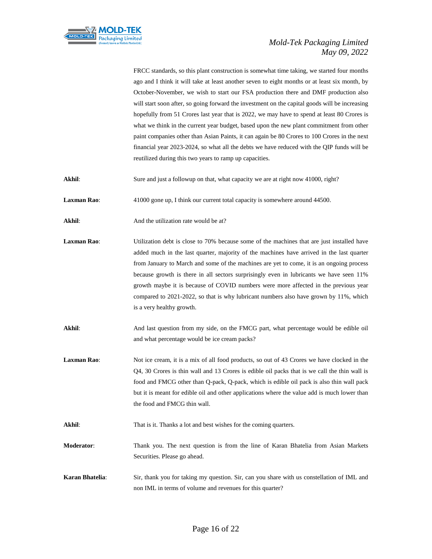

FRCC standards, so this plant construction is somewhat time taking, we started four months ago and I think it will take at least another seven to eight months or at least six month, by October-November, we wish to start our FSA production there and DMF production also will start soon after, so going forward the investment on the capital goods will be increasing hopefully from 51 Crores last year that is 2022, we may have to spend at least 80 Crores is what we think in the current year budget, based upon the new plant commitment from other paint companies other than Asian Paints, it can again be 80 Crores to 100 Crores in the next financial year 2023-2024, so what all the debts we have reduced with the QIP funds will be reutilized during this two years to ramp up capacities.

**Akhil**: Sure and just a followup on that, what capacity we are at right now 41000, right?

**Laxman Rao:** 41000 gone up, I think our current total capacity is somewhere around 44500.

Akhil: And the utilization rate would be at?

Laxman Rao: Utilization debt is close to 70% because some of the machines that are just installed have added much in the last quarter, majority of the machines have arrived in the last quarter from January to March and some of the machines are yet to come, it is an ongoing process because growth is there in all sectors surprisingly even in lubricants we have seen 11% growth maybe it is because of COVID numbers were more affected in the previous year compared to 2021-2022, so that is why lubricant numbers also have grown by 11%, which is a very healthy growth.

**Akhil**: And last question from my side, on the FMCG part, what percentage would be edible oil and what percentage would be ice cream packs?

Laxman Rao: Not ice cream, it is a mix of all food products, so out of 43 Crores we have clocked in the Q4, 30 Crores is thin wall and 13 Crores is edible oil packs that is we call the thin wall is food and FMCG other than Q-pack, Q-pack, which is edible oil pack is also thin wall pack but it is meant for edible oil and other applications where the value add is much lower than the food and FMCG thin wall.

**Akhil**: That is it. Thanks a lot and best wishes for the coming quarters.

**Moderator**: Thank you. The next question is from the line of Karan Bhatelia from Asian Markets Securities. Please go ahead.

**Karan Bhatelia**: Sir, thank you for taking my question. Sir, can you share with us constellation of IML and non IML in terms of volume and revenues for this quarter?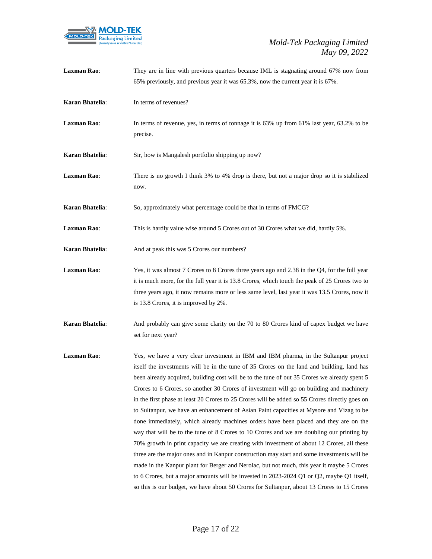

| Laxman Rao:     | They are in line with previous quarters because IML is stagnating around 67% now from<br>65% previously, and previous year it was 65.3%, now the current year it is 67%.                                                                                                                                                                                                                                                                                                                                                                                                                                                                                                                                                                                                                                                                                                                                                                                                                                                                                                                                                                                                                                                                               |
|-----------------|--------------------------------------------------------------------------------------------------------------------------------------------------------------------------------------------------------------------------------------------------------------------------------------------------------------------------------------------------------------------------------------------------------------------------------------------------------------------------------------------------------------------------------------------------------------------------------------------------------------------------------------------------------------------------------------------------------------------------------------------------------------------------------------------------------------------------------------------------------------------------------------------------------------------------------------------------------------------------------------------------------------------------------------------------------------------------------------------------------------------------------------------------------------------------------------------------------------------------------------------------------|
| Karan Bhatelia: | In terms of revenues?                                                                                                                                                                                                                                                                                                                                                                                                                                                                                                                                                                                                                                                                                                                                                                                                                                                                                                                                                                                                                                                                                                                                                                                                                                  |
| Laxman Rao:     | In terms of revenue, yes, in terms of tonnage it is 63% up from 61% last year, 63.2% to be<br>precise.                                                                                                                                                                                                                                                                                                                                                                                                                                                                                                                                                                                                                                                                                                                                                                                                                                                                                                                                                                                                                                                                                                                                                 |
| Karan Bhatelia: | Sir, how is Mangalesh portfolio shipping up now?                                                                                                                                                                                                                                                                                                                                                                                                                                                                                                                                                                                                                                                                                                                                                                                                                                                                                                                                                                                                                                                                                                                                                                                                       |
| Laxman Rao:     | There is no growth I think 3% to 4% drop is there, but not a major drop so it is stabilized<br>now.                                                                                                                                                                                                                                                                                                                                                                                                                                                                                                                                                                                                                                                                                                                                                                                                                                                                                                                                                                                                                                                                                                                                                    |
| Karan Bhatelia: | So, approximately what percentage could be that in terms of FMCG?                                                                                                                                                                                                                                                                                                                                                                                                                                                                                                                                                                                                                                                                                                                                                                                                                                                                                                                                                                                                                                                                                                                                                                                      |
| Laxman Rao:     | This is hardly value wise around 5 Crores out of 30 Crores what we did, hardly 5%.                                                                                                                                                                                                                                                                                                                                                                                                                                                                                                                                                                                                                                                                                                                                                                                                                                                                                                                                                                                                                                                                                                                                                                     |
| Karan Bhatelia: | And at peak this was 5 Crores our numbers?                                                                                                                                                                                                                                                                                                                                                                                                                                                                                                                                                                                                                                                                                                                                                                                                                                                                                                                                                                                                                                                                                                                                                                                                             |
| Laxman Rao:     | Yes, it was almost 7 Crores to 8 Crores three years ago and 2.38 in the Q4, for the full year<br>it is much more, for the full year it is 13.8 Crores, which touch the peak of 25 Crores two to<br>three years ago, it now remains more or less same level, last year it was 13.5 Crores, now it<br>is 13.8 Crores, it is improved by 2%.                                                                                                                                                                                                                                                                                                                                                                                                                                                                                                                                                                                                                                                                                                                                                                                                                                                                                                              |
| Karan Bhatelia: | And probably can give some clarity on the 70 to 80 Crores kind of capex budget we have<br>set for next year?                                                                                                                                                                                                                                                                                                                                                                                                                                                                                                                                                                                                                                                                                                                                                                                                                                                                                                                                                                                                                                                                                                                                           |
| Laxman Rao:     | Yes, we have a very clear investment in IBM and IBM pharma, in the Sultanpur project<br>itself the investments will be in the tune of 35 Crores on the land and building, land has<br>been already acquired, building cost will be to the tune of out 35 Crores we already spent 5<br>Crores to 6 Crores, so another 30 Crores of investment will go on building and machinery<br>in the first phase at least 20 Crores to 25 Crores will be added so 55 Crores directly goes on<br>to Sultanpur, we have an enhancement of Asian Paint capacities at Mysore and Vizag to be<br>done immediately, which already machines orders have been placed and they are on the<br>way that will be to the tune of 8 Crores to 10 Crores and we are doubling our printing by<br>70% growth in print capacity we are creating with investment of about 12 Crores, all these<br>three are the major ones and in Kanpur construction may start and some investments will be<br>made in the Kanpur plant for Berger and Nerolac, but not much, this year it maybe 5 Crores<br>to 6 Crores, but a major amounts will be invested in 2023-2024 Q1 or Q2, maybe Q1 itself,<br>so this is our budget, we have about 50 Crores for Sultanpur, about 13 Crores to 15 Crores |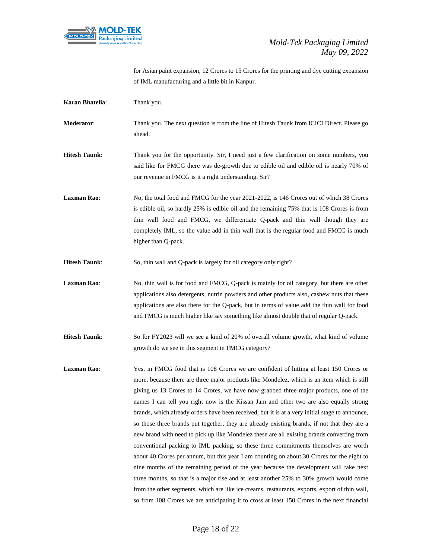

for Asian paint expansion, 12 Crores to 15 Crores for the printing and dye cutting expansion of IML manufacturing and a little bit in Kanpur.

| Karan Bhatelia:      | Thank you.                                                                                                                                                                                                                                                                                                                                                                                                                                                                                                                                                                                                                                                                                                                                                                                                                                                                                                                                                                                                                                                                                                                                                                                                                                               |
|----------------------|----------------------------------------------------------------------------------------------------------------------------------------------------------------------------------------------------------------------------------------------------------------------------------------------------------------------------------------------------------------------------------------------------------------------------------------------------------------------------------------------------------------------------------------------------------------------------------------------------------------------------------------------------------------------------------------------------------------------------------------------------------------------------------------------------------------------------------------------------------------------------------------------------------------------------------------------------------------------------------------------------------------------------------------------------------------------------------------------------------------------------------------------------------------------------------------------------------------------------------------------------------|
| Moderator:           | Thank you. The next question is from the line of Hitesh Taunk from ICICI Direct. Please go<br>ahead.                                                                                                                                                                                                                                                                                                                                                                                                                                                                                                                                                                                                                                                                                                                                                                                                                                                                                                                                                                                                                                                                                                                                                     |
| <b>Hitesh Taunk:</b> | Thank you for the opportunity. Sir, I need just a few clarification on some numbers, you<br>said like for FMCG there was de-growth due to edible oil and edible oil is nearly 70% of<br>our revenue in FMCG is it a right understanding, Sir?                                                                                                                                                                                                                                                                                                                                                                                                                                                                                                                                                                                                                                                                                                                                                                                                                                                                                                                                                                                                            |
| <b>Laxman Rao:</b>   | No, the total food and FMCG for the year 2021-2022, is 146 Crores out of which 38 Crores<br>is edible oil, so hardly 25% is edible oil and the remaining 75% that is 108 Crores is from<br>thin wall food and FMCG, we differentiate Q-pack and thin wall though they are<br>completely IML, so the value add in thin wall that is the regular food and FMCG is much<br>higher than Q-pack.                                                                                                                                                                                                                                                                                                                                                                                                                                                                                                                                                                                                                                                                                                                                                                                                                                                              |
| <b>Hitesh Taunk:</b> | So, thin wall and Q-pack is largely for oil category only right?                                                                                                                                                                                                                                                                                                                                                                                                                                                                                                                                                                                                                                                                                                                                                                                                                                                                                                                                                                                                                                                                                                                                                                                         |
| <b>Laxman Rao:</b>   | No, thin wall is for food and FMCG, Q-pack is mainly for oil category, but there are other<br>applications also detergents, nutrin powders and other products also, cashew nuts that these<br>applications are also there for the Q-pack, but in terms of value add the thin wall for food<br>and FMCG is much higher like say something like almost double that of regular Q-pack.                                                                                                                                                                                                                                                                                                                                                                                                                                                                                                                                                                                                                                                                                                                                                                                                                                                                      |
| <b>Hitesh Taunk:</b> | So for FY2023 will we see a kind of 20% of overall volume growth, what kind of volume<br>growth do we see in this segment in FMCG category?                                                                                                                                                                                                                                                                                                                                                                                                                                                                                                                                                                                                                                                                                                                                                                                                                                                                                                                                                                                                                                                                                                              |
| <b>Laxman Rao:</b>   | Yes, in FMCG food that is 108 Crores we are confident of hitting at least 150 Crores or<br>more, because there are three major products like Mondelez, which is an item which is still<br>giving us 13 Crores to 14 Crores, we have now grabbed three major products, one of the<br>names I can tell you right now is the Kissan Jam and other two are also equally strong<br>brands, which already orders have been received, but it is at a very initial stage to announce,<br>so those three brands put together, they are already existing brands, if not that they are a<br>new brand with need to pick up like Mondelez these are all existing brands converting from<br>conventional packing to IML packing, so these three commitments themselves are worth<br>about 40 Crores per annum, but this year I am counting on about 30 Crores for the eight to<br>nine months of the remaining period of the year because the development will take next<br>three months, so that is a major rise and at least another 25% to 30% growth would come<br>from the other segments, which are like ice creams, restaurants, exports, export of thin wall,<br>so from 108 Crores we are anticipating it to cross at least 150 Crores in the next financial |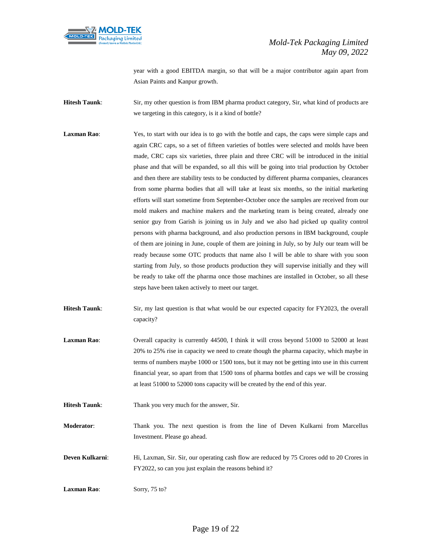

year with a good EBITDA margin, so that will be a major contributor again apart from Asian Paints and Kanpur growth.

**Hitesh Taunk:** Sir, my other question is from IBM pharma product category, Sir, what kind of products are we targeting in this category, is it a kind of bottle?

- **Laxman Rao:** Yes, to start with our idea is to go with the bottle and caps, the caps were simple caps and again CRC caps, so a set of fifteen varieties of bottles were selected and molds have been made, CRC caps six varieties, three plain and three CRC will be introduced in the initial phase and that will be expanded, so all this will be going into trial production by October and then there are stability tests to be conducted by different pharma companies, clearances from some pharma bodies that all will take at least six months, so the initial marketing efforts will start sometime from September-October once the samples are received from our mold makers and machine makers and the marketing team is being created, already one senior guy from Garish is joining us in July and we also had picked up quality control persons with pharma background, and also production persons in IBM background, couple of them are joining in June, couple of them are joining in July, so by July our team will be ready because some OTC products that name also I will be able to share with you soon starting from July, so those products production they will supervise initially and they will be ready to take off the pharma once those machines are installed in October, so all these steps have been taken actively to meet our target.
- **Hitesh Taunk**: Sir, my last question is that what would be our expected capacity for FY2023, the overall capacity?
- **Laxman Rao:** Overall capacity is currently 44500, I think it will cross beyond 51000 to 52000 at least 20% to 25% rise in capacity we need to create though the pharma capacity, which maybe in terms of numbers maybe 1000 or 1500 tons, but it may not be getting into use in this current financial year, so apart from that 1500 tons of pharma bottles and caps we will be crossing at least 51000 to 52000 tons capacity will be created by the end of this year.

**Hitesh Taunk:** Thank you very much for the answer, Sir.

**Moderator**: Thank you. The next question is from the line of Deven Kulkarni from Marcellus Investment. Please go ahead.

**Deven Kulkarni:** Hi, Laxman, Sir. Sir, our operating cash flow are reduced by 75 Crores odd to 20 Crores in FY2022, so can you just explain the reasons behind it?

**Laxman Rao**: Sorry, 75 to?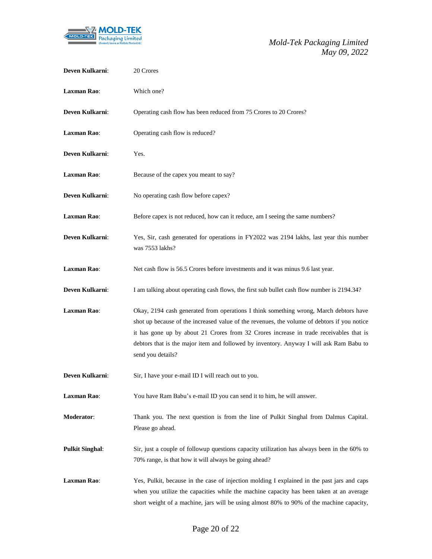

| Deven Kulkarni:        | 20 Crores                                                                                                                                                                                                                                                                                                                                                                                      |
|------------------------|------------------------------------------------------------------------------------------------------------------------------------------------------------------------------------------------------------------------------------------------------------------------------------------------------------------------------------------------------------------------------------------------|
| <b>Laxman Rao:</b>     | Which one?                                                                                                                                                                                                                                                                                                                                                                                     |
| Deven Kulkarni:        | Operating cash flow has been reduced from 75 Crores to 20 Crores?                                                                                                                                                                                                                                                                                                                              |
| <b>Laxman Rao:</b>     | Operating cash flow is reduced?                                                                                                                                                                                                                                                                                                                                                                |
| Deven Kulkarni:        | Yes.                                                                                                                                                                                                                                                                                                                                                                                           |
| <b>Laxman Rao:</b>     | Because of the capex you meant to say?                                                                                                                                                                                                                                                                                                                                                         |
| Deven Kulkarni:        | No operating cash flow before capex?                                                                                                                                                                                                                                                                                                                                                           |
| <b>Laxman Rao:</b>     | Before capex is not reduced, how can it reduce, am I seeing the same numbers?                                                                                                                                                                                                                                                                                                                  |
| Deven Kulkarni:        | Yes, Sir, cash generated for operations in FY2022 was 2194 lakhs, last year this number<br>was 7553 lakhs?                                                                                                                                                                                                                                                                                     |
| <b>Laxman Rao:</b>     | Net cash flow is 56.5 Crores before investments and it was minus 9.6 last year.                                                                                                                                                                                                                                                                                                                |
| Deven Kulkarni:        | I am talking about operating cash flows, the first sub bullet cash flow number is 2194.34?                                                                                                                                                                                                                                                                                                     |
| <b>Laxman Rao:</b>     | Okay, 2194 cash generated from operations I think something wrong, March debtors have<br>shot up because of the increased value of the revenues, the volume of debtors if you notice<br>it has gone up by about 21 Crores from 32 Crores increase in trade receivables that is<br>debtors that is the major item and followed by inventory. Anyway I will ask Ram Babu to<br>send you details? |
| Deven Kulkarni:        | Sir, I have your e-mail ID I will reach out to you.                                                                                                                                                                                                                                                                                                                                            |
| <b>Laxman Rao:</b>     | You have Ram Babu's e-mail ID you can send it to him, he will answer.                                                                                                                                                                                                                                                                                                                          |
| <b>Moderator:</b>      | Thank you. The next question is from the line of Pulkit Singhal from Dalmus Capital.<br>Please go ahead.                                                                                                                                                                                                                                                                                       |
| <b>Pulkit Singhal:</b> | Sir, just a couple of followup questions capacity utilization has always been in the 60% to<br>70% range, is that how it will always be going ahead?                                                                                                                                                                                                                                           |
| <b>Laxman Rao:</b>     | Yes, Pulkit, because in the case of injection molding I explained in the past jars and caps<br>when you utilize the capacities while the machine capacity has been taken at an average<br>short weight of a machine, jars will be using almost 80% to 90% of the machine capacity,                                                                                                             |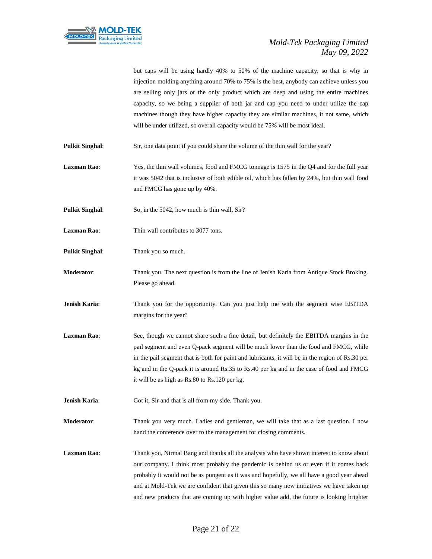

but caps will be using hardly 40% to 50% of the machine capacity, so that is why in injection molding anything around 70% to 75% is the best, anybody can achieve unless you are selling only jars or the only product which are deep and using the entire machines capacity, so we being a supplier of both jar and cap you need to under utilize the cap machines though they have higher capacity they are similar machines, it not same, which will be under utilized, so overall capacity would be 75% will be most ideal.

- **Pulkit Singhal:** Sir, one data point if you could share the volume of the thin wall for the year?
- **Laxman Rao**: Yes, the thin wall volumes, food and FMCG tonnage is 1575 in the Q4 and for the full year it was 5042 that is inclusive of both edible oil, which has fallen by 24%, but thin wall food and FMCG has gone up by 40%.
- **Pulkit Singhal:** So, in the 5042, how much is thin wall, Sir?
- **Laxman Rao:** Thin wall contributes to 3077 tons.
- **Pulkit Singhal**: Thank you so much.
- **Moderator**: Thank you. The next question is from the line of Jenish Karia from Antique Stock Broking. Please go ahead.
- **Jenish Karia:** Thank you for the opportunity. Can you just help me with the segment wise EBITDA margins for the year?
- Laxman Rao: See, though we cannot share such a fine detail, but definitely the EBITDA margins in the pail segment and even Q-pack segment will be much lower than the food and FMCG, while in the pail segment that is both for paint and lubricants, it will be in the region of Rs.30 per kg and in the Q-pack it is around Rs.35 to Rs.40 per kg and in the case of food and FMCG it will be as high as Rs.80 to Rs.120 per kg.
- **Jenish Karia:** Got it, Sir and that is all from my side. Thank you.

**Moderator**: Thank you very much. Ladies and gentleman, we will take that as a last question. I now hand the conference over to the management for closing comments.

**Laxman Rao**: Thank you, Nirmal Bang and thanks all the analysts who have shown interest to know about our company. I think most probably the pandemic is behind us or even if it comes back probably it would not be as pungent as it was and hopefully, we all have a good year ahead and at Mold-Tek we are confident that given this so many new initiatives we have taken up and new products that are coming up with higher value add, the future is looking brighter